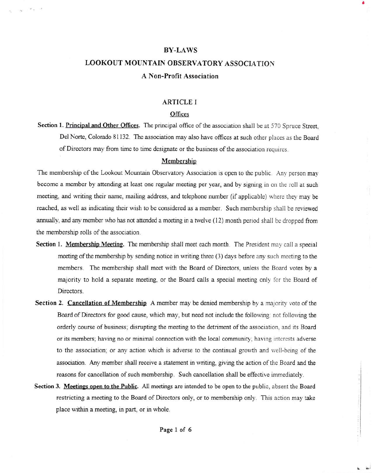#### BY-LAWS

 $\mathcal{M}_{\infty}$  .

# LOOKOUT MOUNTAIN OBSERVATORY ASSOCIATION A Non-Profit Association

#### ARTICLE I

# **Offices**

Section 1. Principal and Other Offices. The principal office of the association shall be at 570 Spruce Street, Del Norte, Colorado 8l132. The association may also have offices at such other places as the Board of Directors may from time to time designate or the business of the association requires.

#### Membership

The membership of the Lookout Mountain Observatory Association is open to the public. Any person may become a member by attending at least one regular meeting per year, and by signing in on the roll at such meeting, and writing their name, mailing address, and telephone number (if applicable) where they may be reached, as well as indicating their wish to be considered as a member. Such membership shall be reviewed annually, and any member who has not attended a meeting in a twelve (12) month period shall be dropped from the membership rolls of the association.

- Section 1. Membership Meeting. The membership shall meet each month. The President may call a special meeting of the membership by sending notice in writing three (3) days before any such meeting to the members. The membership shall meet with the Board of Directors, unless the Board votes by a majority to hold a separate meeting, or the Board calls a special meeting only for the Board of Directors.
- Section 2. Cancellation of Membership A member may be denied membership by a majority vote of the Board of Directors for good cause, which may, but need not include the following: not following the orderly course of business; disrupting the meeting to the detriment of the association, and its Board or its members; having no or mrnimal connection with the local community; having interests adverse to the association; or any action which is adverse to the continual growth and well-being of the association. Any member shall receive a statement in writing, giving the action of the Board and the reasons for cancellation of such membership. Such cancellation shall be effective immediately.
- Section 3. Meetings open to the Public. All meetings are intended to be open to the public, absent the Board restricting a meeting to the Board of Directors only, or to membership only. This action may take place within a meeting, in part, or in whole.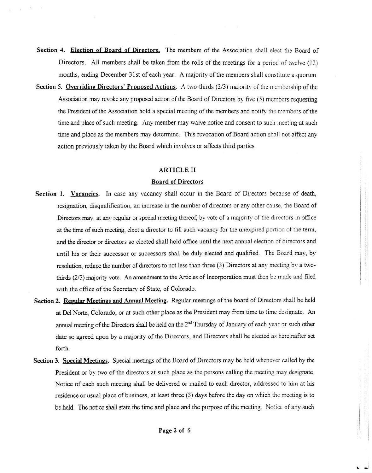- Section 4. Election of Board of Directors. The members of the Association shall elect the Board of Directors. All members shall be taken from the rolls of the meetings for a period of twelve (12) months, ending December 31st of each year. A majority of the members shall constitute a quorum.
- Section 5. Overriding Directors' Proposed Actions. A two-thirds  $(2/3)$  majority of the membership of the Association may revoke any proposed acuon of the Board of Directors by five (5) members requesting the President of the Association hold a special meetrng of the members and notifu the members of the time and place of such meeting. Any member may waive notice and consent to such meeting at such time and place as the members may determine. This revocation of Board action shall not affect any action previously taken by the Board which involves or affects third parties.

# ARTICLE II

#### Board of Directors

- Section 1. Vacancies. In case any vacancy shall occur in the Board of Directors because of death, resignation, disqualification, an increase in the number of directors or any other cause, the Board of Directors may, at any regular or special meeting thereof, by vote of a majority of the directors in office at the time of such meeting, elect a director to fill such vacancy for the unexpired portion of the term, and the director or directors so elected shall hold office until the next annual election of directors and until his or their successor or successors shall be duly elected and qualified. The Board may, by resolution, reduce the number of directors to not less than three (3) Directors at any meeting by a twothirds (2/3) majority vote. An amendment to the Articles of Incorporation must then be made and filed with the office of the Secretary of State, of Colorado.
- Section 2. Regular Meetings and Annual Meeting. Regular meetings of the board of Directors shall be held at Del Norte, Colorado, or at such other place as the President may from time to time designate. An annual meeting of the Directors shall be held on the  $2<sup>nd</sup>$  Thursday of January of each year or such other date so agreed upon by a majority of the Directors, and Directors shall be elected as hereinafter set forth.
- Section 3. Special Meetings. Special meetings of the Board of Directors may be held whenever called by the President or by two of the directors at such place as the persons calling the meeting may designate. Notice of each such meeting shall be delivered or mailed to each director, addressed to him at his residence or usual place of business, at least three (3) days before the day on which the meeting is to be held. The notice shall state the time and place and the purpose of the meeting. Notice of any such

I a.l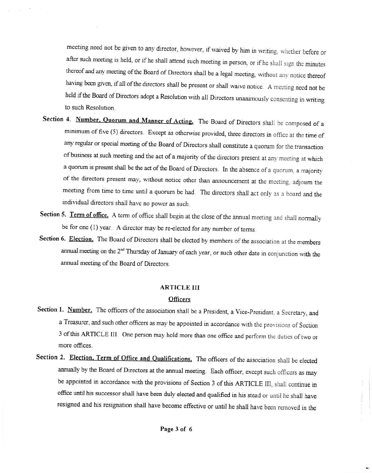meeting need not be given to any director, however, if waived by him in writing, whether before or after such meeting is held, or if he shall attend such meeting in person, or if he shall sign the minutes thereof and any meeting of the Board of Directors shall be a legal meeting, without any notice thereof having been given, if all of the directors shall be present or shall waive notice. A meeting need not be held if the Board of Directors adopt a Resolution with all Directors unanimously consenting in writing to such Resolution.

- Section 4. Number, Quorum and Manner of Acting. The Board of Directors shall be composed of a minimum of five (5) directors. Except as otherwise provided, three directors in office at the time of any regular or special meeting of the Board of Directors shall constitute a quorum for the transaction of business at such meeting and the act of a majority of the directors present at any meeting at which a quorum is present shall be the act of the Board of Directors. In the absence of a quorum, a majority of the directors present may, without notice other than announcement at the meeting, adjourn the meeting from time to time until a quorum be had. The directors shall act only as a board and the individual directors shall have no power as such.
- Section 5. Term of office. A term of office shall begin at the close of the annual meeting and shall normally be for one (l) year. A director may be re-elected for any number of terms,
- Section 6. Election. The Board of Directors shall be elected by members of the association at the members annual meeting on the 2<sup>nd</sup> Thursday of January of each year, or such other date in conjunction with the annual meeting of the Board of Directors.

#### ARTICLE III

# **Officers**

- Section 1. Number. The officers of the association shall be a President, a Vice-President, a Secretary, and a Treasurer, and such other officers as may be appointed in accordance with the provisions of Section 3 of this ARTICLE III. One person may hold more than one office and perform the duties of two or more offices.
- Section 2. Election, Term of Office and Qualifications. The officers of the association shall be elected annually by the Board of Directors at the annual meeting. Each officer, except such officers as may be appointed in accordance with the provisions of Section 3 of this ARTICLE III, shall continue in office until his successor shall have been duly elected and qualified in his stead or until he shall have resigned and his resignation shall have become effective or until he shall have been removed in the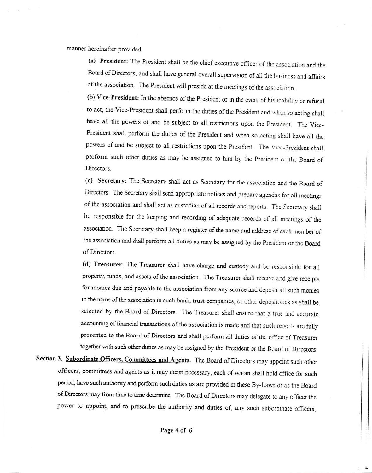manner hereinafter provided.

(a) President: The President shall be the chief executive officer of the association and the Board of Directors, and shall have general overall supervision of all the business and affairs of the association. The President will preside at the meetings of the association.

(b) Vice-President: In the absence of the President or in the event of his inability or refusal to act, the Vice-President shall perform the duties of the President and when so acting shall have all the powers of and be subject to all restrictions upon the President. The Vice-President shall perform the duties of the President and when so acting shall have all the powers of and be subject to all restrictions upon the President. The Vice-President shall perform such other duties as may be assigned to him by the President or the Board of Directors.

(c) Secretary: The Secretary shall act as Secretary for the assocration and the Board of Directors. The Secretary shall send appropriate notices and prepare agendas for all meetings of the association and shall act as custodian of all records and reports. The Secretary shall be responsible for the keeping and recording of adequate records of all meetings of the association. The Secretary shall keep a register of the name and address of each member of the association and shall perform all duties as may be assigned by the President or the Board of Directors

(d) Treasurer: The Treasurer shall have charge and custody and be responsible for ail property, funds, and assets of the association. The Treasurer shall receive and give receipts for monies due and payable to the association from any source and deposit all such monies in the name of the association in such bank, trust companies, or other depositories as shall be selected by the Board of Directors. The Treasurer shall ensure that a true and accurate accounting of financial transactions of the association is made and that such reports are fully presented to the Board of Directors and shall perform all dutres of the office of Treasurer together with such other duties as may be assigned by the President or the Board of Directors.

Section 3. Subordinate Officers, Committees and Agents. The Board of Directors may appoint such other officers, committees and agents as it may deem necessary, each of whom shall hold office for such period, have such authority and perform such duties as are provided in these By-Laws or as the Board of Directors may from time to time determine. The Board of Directors may delegate to any officer the power to appoint, and to prescribe the authority and duties of, any such subordinate officers,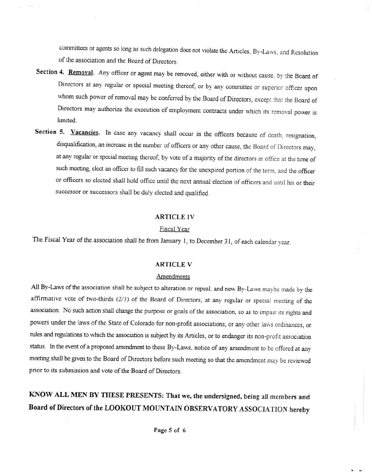committees or agents so long as such delegation does not violate the Articles, By-Laws, and Resolution of the association and the Board of Directors.

- Section 4. Removal. Any officer or agent may be removed, either with or without cause, by the Board of Directors at any regular or special meeting thereof, or by any committee or superior officer upon whom such power of removal may be conferred by the Board of Directors, except that the Board of Directors may authorize the execution of employment contracts under which its removal power is limited.
- Section 5. Vacancies. In case any vacancy shall occur in the officers because of death, resignation, disqualification, an increase in the number of officers or any other cause, the Board of Directors may, at any regular or special meeting thereof, by vote of a majority of the directors in office at the time of such meeting, elect an officer to fill such vacancy for the unexpired portion of the term, and the officer or officers so elected shall hold office until the next annual election of officers and until his or their successor or successors shall be duly elected and qualified.

#### ARTICLE IV

#### Fiscal Year

The Fiscal Year of the association shall be from January l, to December 31, of each calendar year

#### ARTICLE V

#### Amendments

All By-Laws of the association shall be subject to alteration or repeal, and new By-Laws maybe made by the affirmative vote of two-thirds (2/3) of the Board of Directors, at any regular or special meeting of the association. No such action shall change the purpose or goals of the association, so as to impair its rights and powers under the laws of the State of Colorado for non-profit associations, or any other laws ordinances, or rules and regulations to which the association is subject by its Articles, or to endanger its non-profit association status. In the event of a proposed amendment to these By-Laws, notice of any amendment to be offered at any meeting shall be given to the Board of Directors before such meeting so that the amendment may be reviewed prior to its submission and vote of the Board of Directors.

# KNOW ALL MEN BY THESE PRESENTS: That we, the undersigned, being all members and Board of Directors of the LOOKOUT MOUNTAIN OBSERVATORY ASSOCIATION hereby